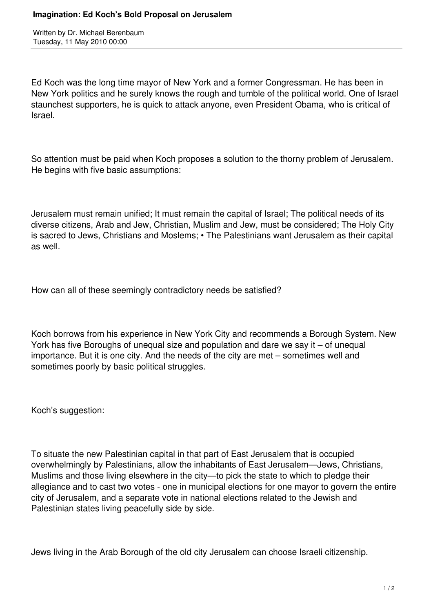Written by Dr. Michael Berenbaum Tuesday, 11 May 2010 00:00

Ed Koch was the long time mayor of New York and a former Congressman. He has been in New York politics and he surely knows the rough and tumble of the political world. One of Israel staunchest supporters, he is quick to attack anyone, even President Obama, who is critical of Israel.

So attention must be paid when Koch proposes a solution to the thorny problem of Jerusalem. He begins with five basic assumptions:

Jerusalem must remain unified; It must remain the capital of Israel; The political needs of its diverse citizens, Arab and Jew, Christian, Muslim and Jew, must be considered; The Holy City is sacred to Jews, Christians and Moslems; • The Palestinians want Jerusalem as their capital as well.

How can all of these seemingly contradictory needs be satisfied?

Koch borrows from his experience in New York City and recommends a Borough System. New York has five Boroughs of unequal size and population and dare we say it – of unequal importance. But it is one city. And the needs of the city are met – sometimes well and sometimes poorly by basic political struggles.

Koch's suggestion:

To situate the new Palestinian capital in that part of East Jerusalem that is occupied overwhelmingly by Palestinians, allow the inhabitants of East Jerusalem—Jews, Christians, Muslims and those living elsewhere in the city—to pick the state to which to pledge their allegiance and to cast two votes - one in municipal elections for one mayor to govern the entire city of Jerusalem, and a separate vote in national elections related to the Jewish and Palestinian states living peacefully side by side.

Jews living in the Arab Borough of the old city Jerusalem can choose Israeli citizenship.